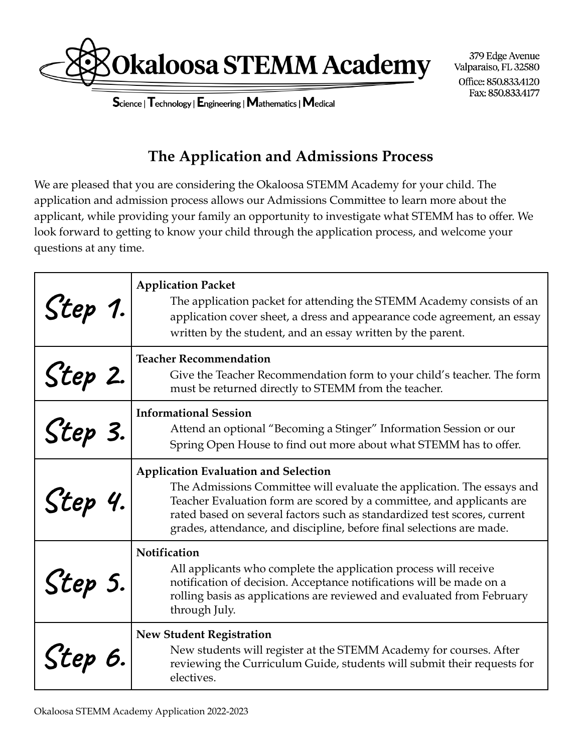

379 Edge Avenue Valparaiso, FL 32580 Office: 850.833.4120 Fax: 850.833.4177

Science | Technology | Engineering | Mathematics | Medical

## **The Application and Admissions Process**

We are pleased that you are considering the Okaloosa STEMM Academy for your child. The application and admission process allows our Admissions Committee to learn more about the applicant, while providing your family an opportunity to investigate what STEMM has to offer. We look forward to getting to know your child through the application process, and welcome your questions at any time.

| S'tep 1. | <b>Application Packet</b><br>The application packet for attending the STEMM Academy consists of an<br>application cover sheet, a dress and appearance code agreement, an essay<br>written by the student, and an essay written by the parent.                                                                                                       |
|----------|-----------------------------------------------------------------------------------------------------------------------------------------------------------------------------------------------------------------------------------------------------------------------------------------------------------------------------------------------------|
| Step 2.  | <b>Teacher Recommendation</b><br>Give the Teacher Recommendation form to your child's teacher. The form<br>must be returned directly to STEMM from the teacher.                                                                                                                                                                                     |
| Step 3.  | <b>Informational Session</b><br>Attend an optional "Becoming a Stinger" Information Session or our<br>Spring Open House to find out more about what STEMM has to offer.                                                                                                                                                                             |
| Step 4.  | <b>Application Evaluation and Selection</b><br>The Admissions Committee will evaluate the application. The essays and<br>Teacher Evaluation form are scored by a committee, and applicants are<br>rated based on several factors such as standardized test scores, current<br>grades, attendance, and discipline, before final selections are made. |
| S'tep 5. | Notification<br>All applicants who complete the application process will receive<br>notification of decision. Acceptance notifications will be made on a<br>rolling basis as applications are reviewed and evaluated from February<br>through July.                                                                                                 |
| Step 6.  | <b>New Student Registration</b><br>New students will register at the STEMM Academy for courses. After<br>reviewing the Curriculum Guide, students will submit their requests for<br>electives.                                                                                                                                                      |